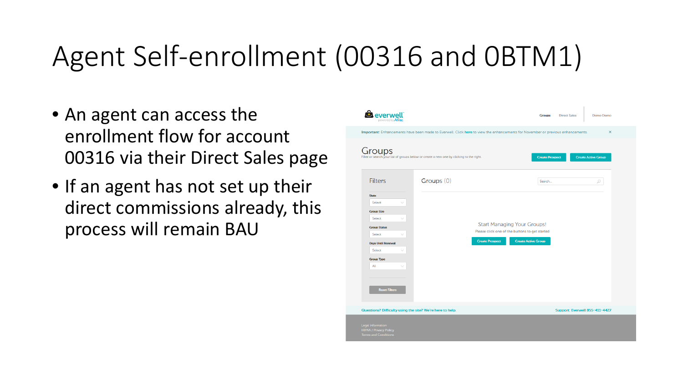#### Agent Self-enrollment (00316 and 0BTM1)

- An agent can access the enrollment flow for account 00316 via their Direct Sales page
- If an agent has not set up their direct commissions already, this process will remain BAU

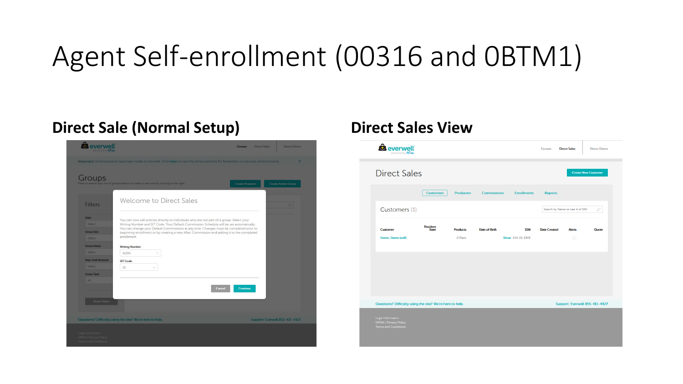#### Agent Self-enrollment (00316 and 0BTM1)

#### **Direct Sale (Normal Setup) Direct Sales View**



| Demo Demo<br>Groups<br><b>Direct Sales</b>                  |
|-------------------------------------------------------------|
| <b>Create New Customer</b>                                  |
| <b>Enrollments</b><br><b>Reports</b>                        |
| Search by Name or Last 4 of SSN<br>Q                        |
| <b>SSN</b><br><b>Date Created</b><br><b>Alerts</b><br>Quote |
| $\circledS$<br><b>Show</b> XXX-XX-3333                      |
|                                                             |
|                                                             |
|                                                             |
| Support: Everwell 855-411-4427                              |
|                                                             |
|                                                             |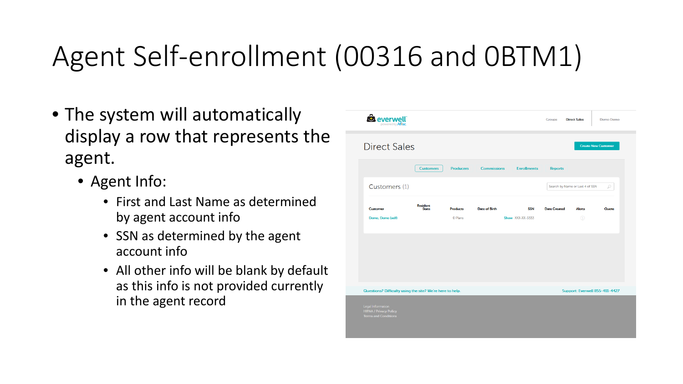## Agent Self-enrollment (00316 and 0BTM1)

- The system will automatically display a row that represents the agent.
	- Agent Info:
		- First and Last Name as determined by agent account info
		- SSN as determined by the agent account info
		- All other info will be blank by default as this info is not provided currently in the agent record

| $\sim$<br><b>O</b> everwell<br>powered by Affac.                                                                                               |                                 |                            |                      |                                       | Groups              | <b>Direct Sales</b>             | Demo Demo                      |
|------------------------------------------------------------------------------------------------------------------------------------------------|---------------------------------|----------------------------|----------------------|---------------------------------------|---------------------|---------------------------------|--------------------------------|
| <b>Direct Sales</b>                                                                                                                            |                                 |                            |                      |                                       |                     |                                 | <b>Create New Customer</b>     |
|                                                                                                                                                | <b>Customers</b>                | <b>Producers</b>           | <b>Commissions</b>   | <b>Enrollments</b>                    | <b>Reports</b>      |                                 |                                |
| Customers (1)                                                                                                                                  |                                 |                            |                      |                                       |                     | Search by Name or Last 4 of SSN | Q                              |
| <b>Customer</b><br>Demo, Demo (self)                                                                                                           | <b>Resident</b><br><b>State</b> | <b>Products</b><br>0 Plans | <b>Date of Birth</b> | <b>SSN</b><br><b>Show</b> XXX-XX-3333 | <b>Date Created</b> | <b>Alerts</b><br>$\circ$        | Quote                          |
| Questions? Difficulty using the site? We're here to help.<br>Legal Information<br><b>HIPAA / Privacy Policy</b><br><b>Terms and Conditions</b> |                                 |                            |                      |                                       |                     |                                 | Support: Everwell 855-411-4427 |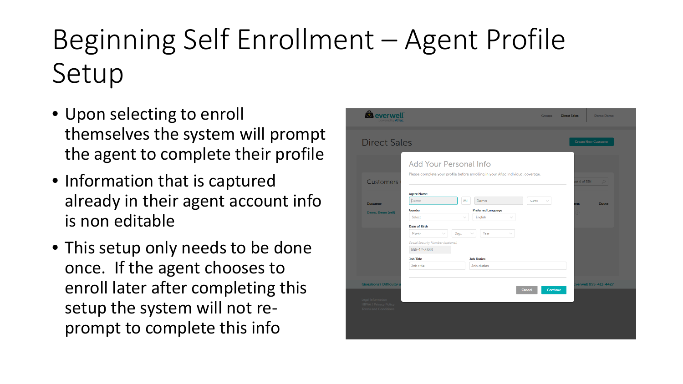# Beginning Self Enrollment – Agent Profile Setup

- Upon selecting to enroll themselves the system will prompt the agent to complete their profile
- Information that is captured already in their agent account info is non editable
- This setup only needs to be done once. If the agent chooses to enroll later after completing this setup the system will not reprompt to complete this info

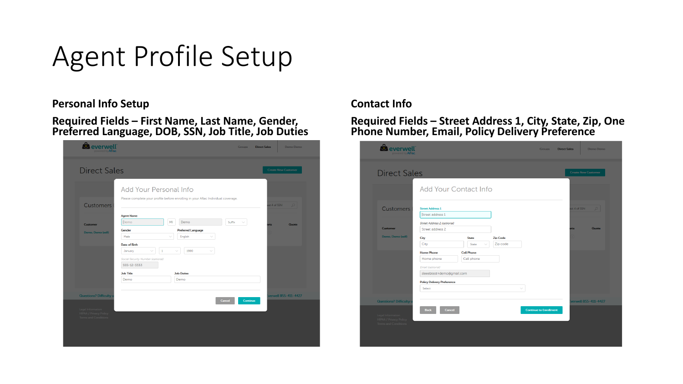#### Agent Profile Setup

**Personal Info Setup**

**Required Fields – First Name, Last Name, Gender, Preferred Language, DOB, SSN, Job Title, Job Duties**

| $\hat{t}$<br>everwell                                                             |                                                                                              |                                                                                  | <b>Direct Sales</b><br><b>Groups</b> | Demo Demo                  |
|-----------------------------------------------------------------------------------|----------------------------------------------------------------------------------------------|----------------------------------------------------------------------------------|--------------------------------------|----------------------------|
| <b>Direct Sales</b>                                                               |                                                                                              |                                                                                  |                                      | <b>Create New Customer</b> |
| <b>Customers</b>                                                                  | Add Your Personal Info                                                                       | Please complete your profile before enrolling in your Aflac Individual coverage. | ast 4 of SSN                         | O.                         |
| <b>Customer</b><br>Demo, Demo (self)                                              | <b>Agent Name</b><br>Demo<br>Gender<br>Male                                                  | MI<br>Demo<br>Suffix<br><b>Preferred Language</b><br>English<br>$\checkmark$     | <b>arts</b>                          | Quote                      |
|                                                                                   | Date of Birth<br>$\mathbf 1$<br>January<br>$\checkmark$<br>Social Security Number (optional) | 1980<br>$\checkmark$<br>$\checkmark$                                             |                                      |                            |
|                                                                                   | 555-12-3333<br><b>Job Title</b><br>Demo                                                      | <b>Job Duties</b><br>Demo                                                        |                                      |                            |
| <b>Questions? Difficulty (</b>                                                    |                                                                                              |                                                                                  |                                      | verwell 855-411-4427       |
| Legal Information<br><b>HIPAA / Privacy Policy</b><br><b>Terms and Conditions</b> |                                                                                              | <b>Cancel</b>                                                                    | Continue                             |                            |

#### **Contact Info**

**Required Fields – Street Address 1, City, State, Zip, One Phone Number, Email, Policy Delivery Preference**

| everwell<br>owered by <b>Affac</b>                                         |                                                        |                                       |                             | <b>Groups</b>                 | <b>Direct Sales</b> | Demo Demo                  |
|----------------------------------------------------------------------------|--------------------------------------------------------|---------------------------------------|-----------------------------|-------------------------------|---------------------|----------------------------|
| <b>Direct Sales</b>                                                        | Add Your Contact Info                                  |                                       |                             |                               |                     | <b>Create New Customer</b> |
| <b>Customers</b>                                                           | <b>Street Address 1</b><br>Street address 1            |                                       |                             |                               | st 4 of SSN         | $\Omega$                   |
| <b>Customer</b>                                                            | <b>Street Address 2 (optional)</b><br>Street address 2 |                                       |                             |                               | erts                | Quote                      |
| Demo, Demo (self)                                                          | City<br>City                                           | <b>State</b><br>State<br>$\checkmark$ | <b>Zip Code</b><br>Zip code |                               |                     |                            |
|                                                                            | <b>Home Phone</b><br>Home phone                        | <b>Cell Phone</b><br>Cell phone       |                             |                               |                     |                            |
|                                                                            | Email (optional)<br>sleeebtest+demo@gmail.com          |                                       |                             |                               |                     |                            |
|                                                                            | <b>Policy Delivery Preference</b><br>Select            |                                       |                             | $\checkmark$                  |                     |                            |
| <b>Questions? Difficulty u</b>                                             |                                                        |                                       |                             |                               |                     | verwell 855-411-4427       |
| Legal Information<br><b>HIPAA / Privacy Policy</b><br>Terms and Conditions | <b>Back</b><br><b>Cancel</b>                           |                                       |                             | <b>Continue to Enrollment</b> |                     |                            |
|                                                                            |                                                        |                                       |                             |                               |                     |                            |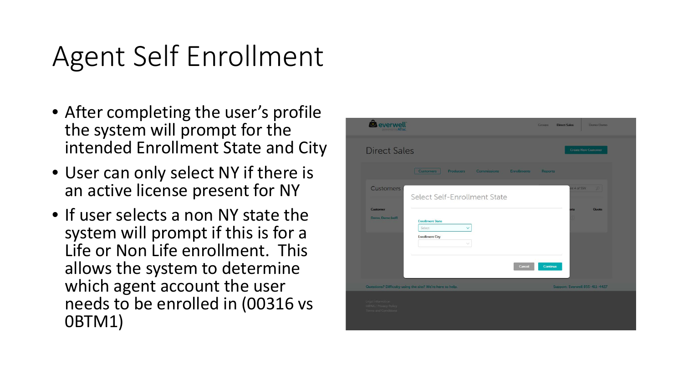## Agent Self Enrollment

- After completing the user's profile the system will prompt for the intended Enrollment State and City
- User can only select NY if there is an active license present for NY
- If user selects a non NY state the system will prompt if this is for a Life or Non Life enrollment. This allows the system to determine which agent account the user needs to be enrolled in (00316 vs 0BTM1)

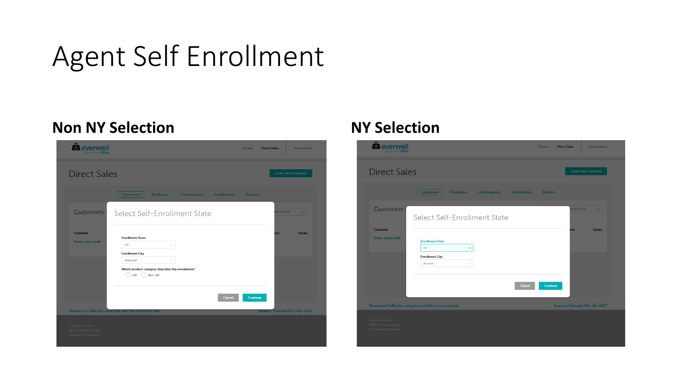#### Agent Self Enrollment

#### **Non NY Selection NY Selection**



| $\hat{\mathbf{c}}$<br>everwell<br>sowered by Afrac                  |                                                                           | <b>Groups</b><br><b>Direct Sales</b> | Demo Demo                      |
|---------------------------------------------------------------------|---------------------------------------------------------------------------|--------------------------------------|--------------------------------|
| <b>Direct Sales</b>                                                 |                                                                           |                                      | <b>Create New Customer</b>     |
|                                                                     | Producers<br><b>Enrollments</b><br><b>Customers</b><br><b>Commissions</b> | Reports                              |                                |
| <b>Customers</b>                                                    | Select Self-Enrollment State                                              | ast 4 of SSN                         | $\mathcal{D}$                  |
| <b>Customer</b><br>Demo, Demo (self)                                | <b>Enrollment State</b><br>NY<br>$\checkmark$                             | erts                                 | Quote                          |
|                                                                     | <b>Enrollment City</b><br>Accord<br>$\checkmark$                          |                                      |                                |
|                                                                     | Cancel                                                                    | <b>Continue</b>                      |                                |
|                                                                     | Questions? Difficulty using the site? We're here to help.                 |                                      | Support: Everwell 855-411-4427 |
| Legal Information<br>HIPAA / Privacy Policy<br>Terms and Conditions |                                                                           |                                      |                                |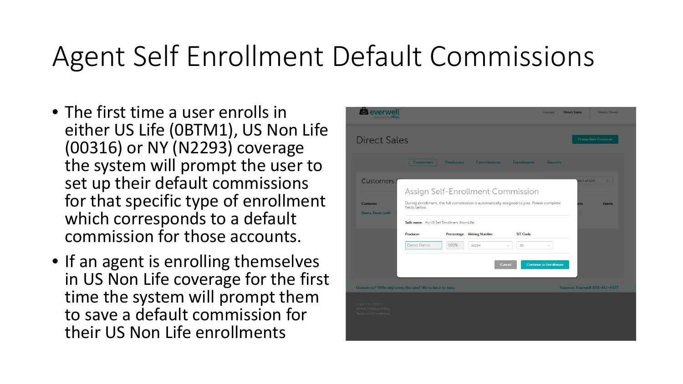#### Agent Self Enrollment Default Commissions

- The first time a user enrolls in either US Life (0BTM1), US Non Life (00316) or NY (N2293) coverage the system will prompt the user to set up their default commissions for that specific type of enrollment which corresponds to a default commission for those accounts.
- If an agent is enrolling themselves in US Non Life coverage for the first time the system will prompt them to save a default commission for their US Non Life enrollments

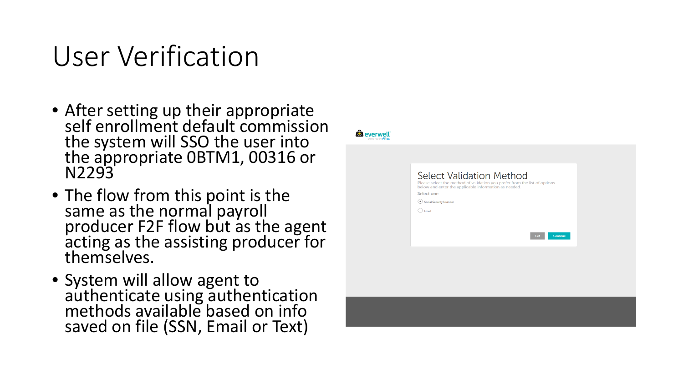#### User Verification

- After setting up their appropriate self enrollment default commission the system will SSO the user into the appropriate 0BTM1, 00316 or N2293
- The flow from this point is the same as the normal payroll producer F2F flow but as the agent acting as the assisting producer for themselves.
- System will allow agent to authenticate using authentication methods available based on info saved on file (SSN, Email or Text)

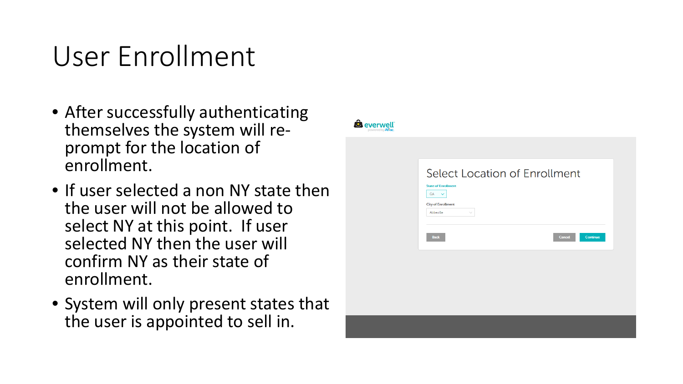#### User Enrollment

- After successfully authenticating themselves the system will re- prompt for the location of enrollment.
- If user selected a non NY state then the user will not be allowed to select NY at this point. If user selected NY then the user will confirm NY as their state of enrollment.
- System will only present states that the user is appointed to sell in.

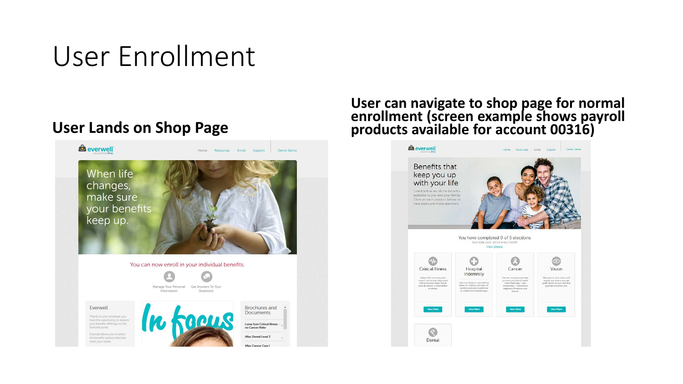#### User Enrollment

#### **User Lands on Shop Page**



#### **User can navigate to shop page for normal enrollment (screen example shows payroll products available for account 00316)**

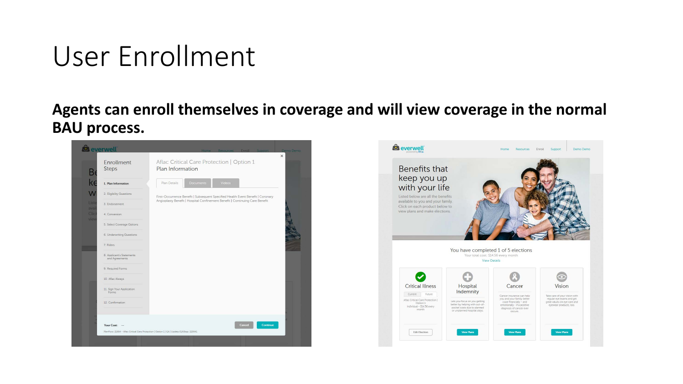#### User Enrollment

#### **Agents can enroll themselves in coverage and will view coverage in the normal BAU process.**



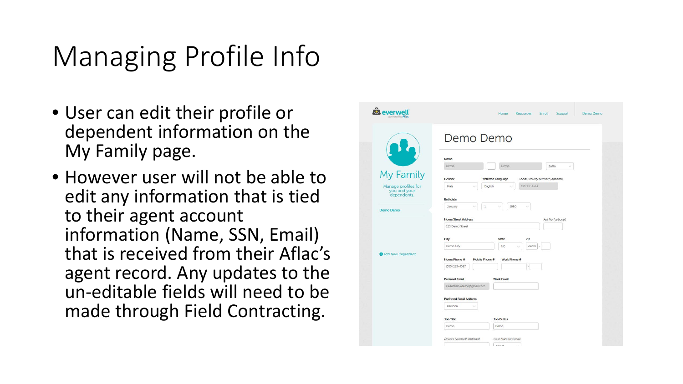## Managing Profile Info

- User can edit their profile or dependent information on the My Family page.
- However user will not be able to edit any information that is tied to their agent account information (Name, SSN, Email) that is received from their Aflac's agent record. Any updates to the un-editable fields will need to be made through Field Contracting.

| everwell<br>powered by Afiac                       | Home<br>Resources<br>Enroll<br>Support<br>Demo Demo                                                                        |
|----------------------------------------------------|----------------------------------------------------------------------------------------------------------------------------|
|                                                    | Demo Demo                                                                                                                  |
|                                                    | Name<br>Demo<br>Demo<br>Suffix<br>v                                                                                        |
| My Family                                          | Social Security Number (optional)<br>Gender<br><b>Preferred Language</b><br>555-12-3333<br>Male<br>English<br>Ÿ.<br>$\sim$ |
| Manage profiles for<br>you and your<br>dependents. | <b>Birthdate</b><br>Q.<br>$\mathbf{1}$<br>1980<br>v<br>v<br>January                                                        |
| <b>Demo Demo</b>                                   | <b>Home Street Address</b><br>Apt No (optional)<br>123 Demo Street                                                         |
|                                                    | City<br>Zip<br><b>State</b><br>Demo City<br><b>NC</b><br>28202                                                             |
| Add New Dependent                                  | ×<br><b>Home Phone #</b><br><b>Mobile Phone #</b><br>Work Phone #<br>$(555)$ 123-4567                                      |
|                                                    | <b>Personal Email</b><br><b>Work Email</b>                                                                                 |
|                                                    | sleeebtest+demo@gmail.com<br><b>Preferred Email Address</b>                                                                |
|                                                    | Personal<br><b>Job Title</b><br><b>Job Duties</b>                                                                          |
|                                                    | Demo<br>Demo                                                                                                               |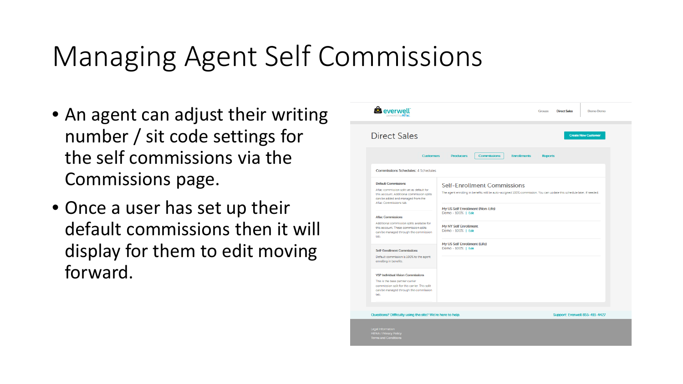### Managing Agent Self Commissions

- An agent can adjust their writing number / sit code settings for the self commissions via the Commissions page.
- Once a user has set up their default commissions then it will display for them to edit moving forward.

| <b>Customers</b>                                                                                                                                                                     | <b>Commissions</b><br><b>Producers</b><br><b>Enrollments</b><br><b>Reports</b>                                                                              |
|--------------------------------------------------------------------------------------------------------------------------------------------------------------------------------------|-------------------------------------------------------------------------------------------------------------------------------------------------------------|
| <b>Commissions Schedules: 4 Schedules</b>                                                                                                                                            |                                                                                                                                                             |
| <b>Default Commissions</b><br>Aflac commission split set as default for<br>this account. Additional commission splits<br>can be added and managed from the<br>Aflac Commissions tab. | <b>Self-Enrollment Commissions</b><br>The agent enrolling in benefits will be auto-assigned 100% commission. You can update this schedule later, if needed. |
| <b>Aflac Commissions</b><br>Additional commission splits available for<br>this account. These commission splits<br>can be managed through the commission<br>tab.                     | My US Self Enrollment (Non-Life)<br>Demo - 100%   Edit<br>My NY Self Enrollment<br>Demo - 100%   Edit                                                       |
| <b>Self-Enrollment Commissions</b><br>Default commission is 100% to the agent<br>enrolling in benefits.                                                                              | My US Self Enrollment (Life)<br>Demo - 100%   Edit                                                                                                          |
| <b>VSP Individual Vision Commissions</b><br>This is the base partner carrier<br>commission solit for this carrier. This solit<br>can be managed through the commission<br>tab.       |                                                                                                                                                             |
|                                                                                                                                                                                      |                                                                                                                                                             |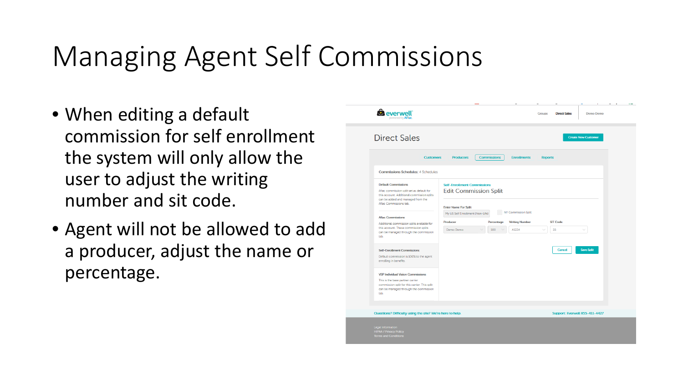## Managing Agent Self Commissions

- When editing a default commission for self enrollment the system will only allow the user to adjust the writing number and sit code.
- Agent will not be allowed to add a producer, adjust the name or percentage.

| <b>Direct Sales</b>                                                                                                                                                                        | <b>Create New Customer</b>                                                                                                                                                                                   |
|--------------------------------------------------------------------------------------------------------------------------------------------------------------------------------------------|--------------------------------------------------------------------------------------------------------------------------------------------------------------------------------------------------------------|
| <b>Customers</b>                                                                                                                                                                           | <b>Producers</b><br><b>Commissions</b><br><b>Enrollments</b><br><b>Reports</b>                                                                                                                               |
| <b>Commissions Schedules: 4 Schedules</b>                                                                                                                                                  |                                                                                                                                                                                                              |
| <b>Default Commissions</b><br>Aflac commission split set as default for<br>this account. Additional commission splits<br>can be added and managed from the                                 | <b>Self-Enrollment Commissions</b><br><b>Edit Commission Split</b>                                                                                                                                           |
| Aflac Commissions tab.<br><b>Aflac Commissions</b><br>Additional commission splits available for<br>this account. These commission splits<br>can be managed through the commission<br>tab. | <b>Enter Name For Split</b><br>NY Commission Split<br>My US Self Enrollment (Non-Life)<br><b>SIT Code</b><br>Producer<br><b>Writing Number</b><br>Percentage<br>A1234<br>25<br>Demo Demo<br>100<br>$\ddotsc$ |
| <b>Self-Enrollment Commissions</b><br>Default commission is 100% to the agent<br>enrolling in benefits.                                                                                    | <b>Save Split</b><br><b>Cancel</b>                                                                                                                                                                           |
| <b>VSP Individual Vision Commissions</b><br>This is the base partner carrier<br>commission split for this carrier. This split<br>can be managed through the commission<br>tab.             |                                                                                                                                                                                                              |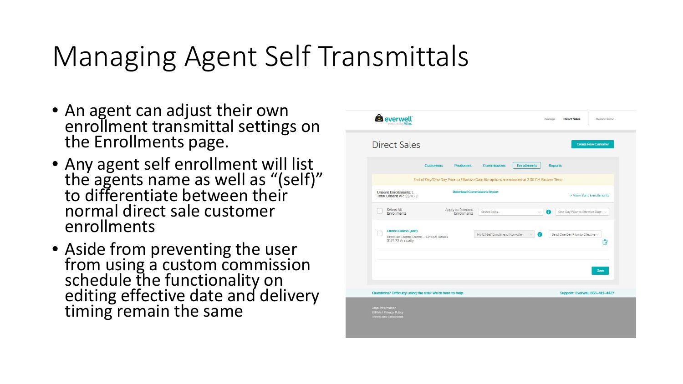## Managing Agent Self Transmittals

- An agent can adjust their own enrollment transmittal settings on the Enrollments page.
- Any agent self enrollment will list the agents name as well as "(self)" to differentiate between their normal direct sale customer enrollments
- Aside from preventing the user from using a custom commission schedule the functionality on editing effective date and delivery timing remain the same